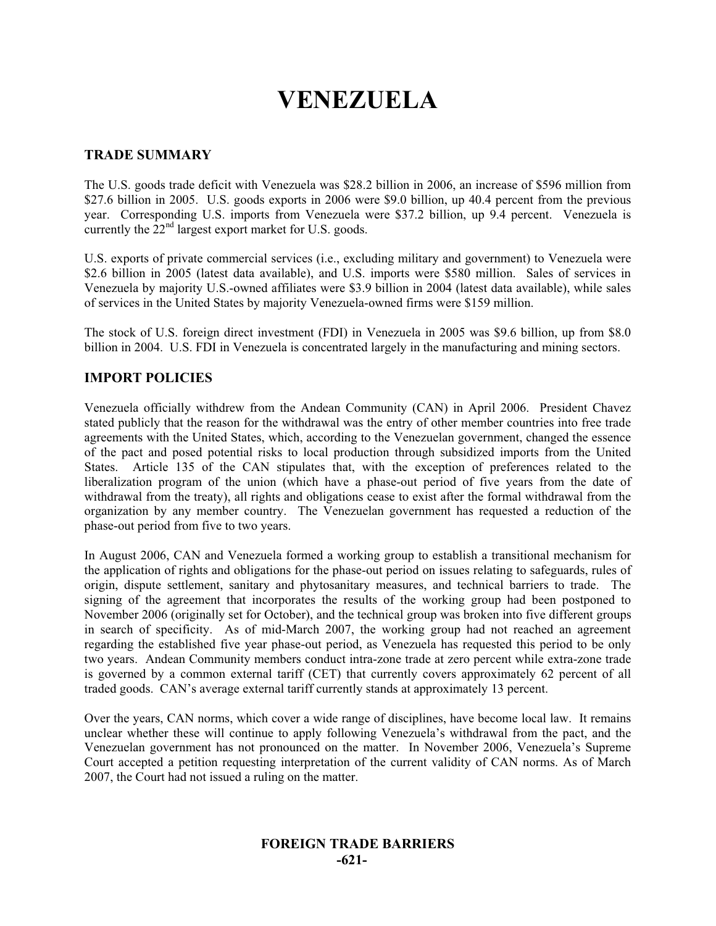# **VENEZUELA**

## **TRADE SUMMARY**

The U.S. goods trade deficit with Venezuela was \$28.2 billion in 2006, an increase of \$596 million from \$27.6 billion in 2005. U.S. goods exports in 2006 were \$9.0 billion, up 40.4 percent from the previous year. Corresponding U.S. imports from Venezuela were \$37.2 billion, up 9.4 percent. Venezuela is currently the  $22<sup>nd</sup>$  largest export market for U.S. goods.

U.S. exports of private commercial services (i.e., excluding military and government) to Venezuela were \$2.6 billion in 2005 (latest data available), and U.S. imports were \$580 million. Sales of services in Venezuela by majority U.S.-owned affiliates were \$3.9 billion in 2004 (latest data available), while sales of services in the United States by majority Venezuela-owned firms were \$159 million.

The stock of U.S. foreign direct investment (FDI) in Venezuela in 2005 was \$9.6 billion, up from \$8.0 billion in 2004. U.S. FDI in Venezuela is concentrated largely in the manufacturing and mining sectors.

# **IMPORT POLICIES**

Venezuela officially withdrew from the Andean Community (CAN) in April 2006. President Chavez stated publicly that the reason for the withdrawal was the entry of other member countries into free trade agreements with the United States, which, according to the Venezuelan government, changed the essence of the pact and posed potential risks to local production through subsidized imports from the United States. Article 135 of the CAN stipulates that, with the exception of preferences related to the liberalization program of the union (which have a phase-out period of five years from the date of withdrawal from the treaty), all rights and obligations cease to exist after the formal withdrawal from the organization by any member country. The Venezuelan government has requested a reduction of the phase-out period from five to two years.

In August 2006, CAN and Venezuela formed a working group to establish a transitional mechanism for the application of rights and obligations for the phase-out period on issues relating to safeguards, rules of origin, dispute settlement, sanitary and phytosanitary measures, and technical barriers to trade. The signing of the agreement that incorporates the results of the working group had been postponed to November 2006 (originally set for October), and the technical group was broken into five different groups in search of specificity. As of mid-March 2007, the working group had not reached an agreement regarding the established five year phase-out period, as Venezuela has requested this period to be only two years. Andean Community members conduct intra-zone trade at zero percent while extra-zone trade is governed by a common external tariff (CET) that currently covers approximately 62 percent of all traded goods. CAN's average external tariff currently stands at approximately 13 percent.

Over the years, CAN norms, which cover a wide range of disciplines, have become local law. It remains unclear whether these will continue to apply following Venezuela's withdrawal from the pact, and the Venezuelan government has not pronounced on the matter. In November 2006, Venezuela's Supreme Court accepted a petition requesting interpretation of the current validity of CAN norms. As of March 2007, the Court had not issued a ruling on the matter.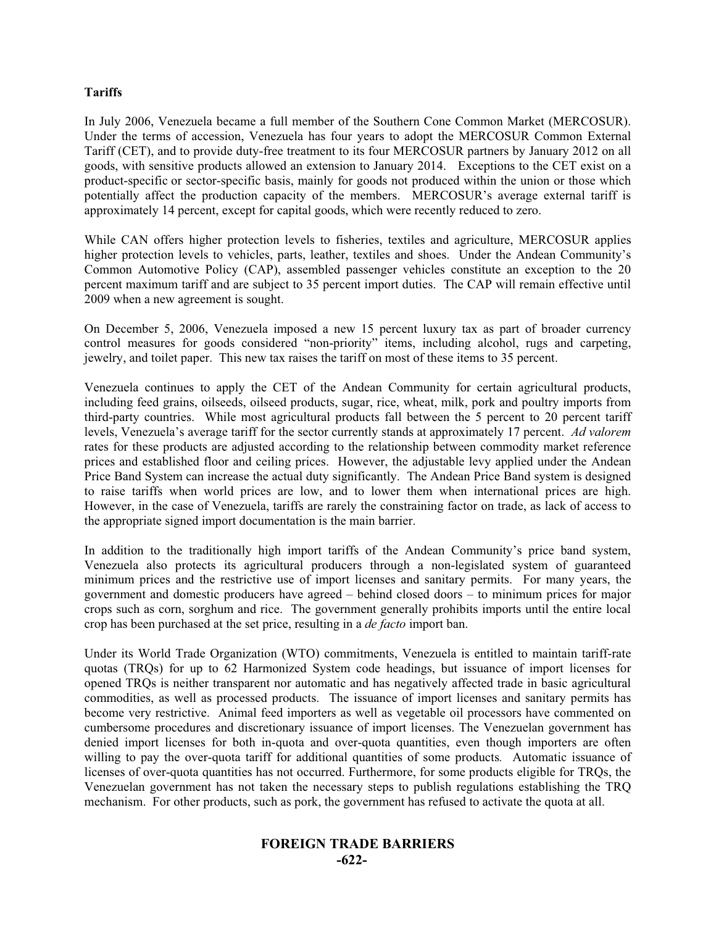#### **Tariffs**

In July 2006, Venezuela became a full member of the Southern Cone Common Market (MERCOSUR). Under the terms of accession, Venezuela has four years to adopt the MERCOSUR Common External Tariff (CET), and to provide duty-free treatment to its four MERCOSUR partners by January 2012 on all goods, with sensitive products allowed an extension to January 2014. Exceptions to the CET exist on a product-specific or sector-specific basis, mainly for goods not produced within the union or those which potentially affect the production capacity of the members. MERCOSUR's average external tariff is approximately 14 percent, except for capital goods, which were recently reduced to zero.

While CAN offers higher protection levels to fisheries, textiles and agriculture, MERCOSUR applies higher protection levels to vehicles, parts, leather, textiles and shoes. Under the Andean Community's Common Automotive Policy (CAP), assembled passenger vehicles constitute an exception to the 20 percent maximum tariff and are subject to 35 percent import duties. The CAP will remain effective until 2009 when a new agreement is sought.

On December 5, 2006, Venezuela imposed a new 15 percent luxury tax as part of broader currency control measures for goods considered "non-priority" items, including alcohol, rugs and carpeting, jewelry, and toilet paper. This new tax raises the tariff on most of these items to 35 percent.

Venezuela continues to apply the CET of the Andean Community for certain agricultural products, including feed grains, oilseeds, oilseed products, sugar, rice, wheat, milk, pork and poultry imports from third-party countries. While most agricultural products fall between the 5 percent to 20 percent tariff levels, Venezuela's average tariff for the sector currently stands at approximately 17 percent. *Ad valorem* rates for these products are adjusted according to the relationship between commodity market reference prices and established floor and ceiling prices. However, the adjustable levy applied under the Andean Price Band System can increase the actual duty significantly. The Andean Price Band system is designed to raise tariffs when world prices are low, and to lower them when international prices are high. However, in the case of Venezuela, tariffs are rarely the constraining factor on trade, as lack of access to the appropriate signed import documentation is the main barrier.

In addition to the traditionally high import tariffs of the Andean Community's price band system, Venezuela also protects its agricultural producers through a non-legislated system of guaranteed minimum prices and the restrictive use of import licenses and sanitary permits. For many years, the government and domestic producers have agreed – behind closed doors – to minimum prices for major crops such as corn, sorghum and rice. The government generally prohibits imports until the entire local crop has been purchased at the set price, resulting in a *de facto* import ban.

Under its World Trade Organization (WTO) commitments, Venezuela is entitled to maintain tariff-rate quotas (TRQs) for up to 62 Harmonized System code headings, but issuance of import licenses for opened TRQs is neither transparent nor automatic and has negatively affected trade in basic agricultural commodities, as well as processed products. The issuance of import licenses and sanitary permits has become very restrictive. Animal feed importers as well as vegetable oil processors have commented on cumbersome procedures and discretionary issuance of import licenses. The Venezuelan government has denied import licenses for both in-quota and over-quota quantities, even though importers are often willing to pay the over-quota tariff for additional quantities of some products*.* Automatic issuance of licenses of over-quota quantities has not occurred. Furthermore, for some products eligible for TRQs, the Venezuelan government has not taken the necessary steps to publish regulations establishing the TRQ mechanism. For other products, such as pork, the government has refused to activate the quota at all.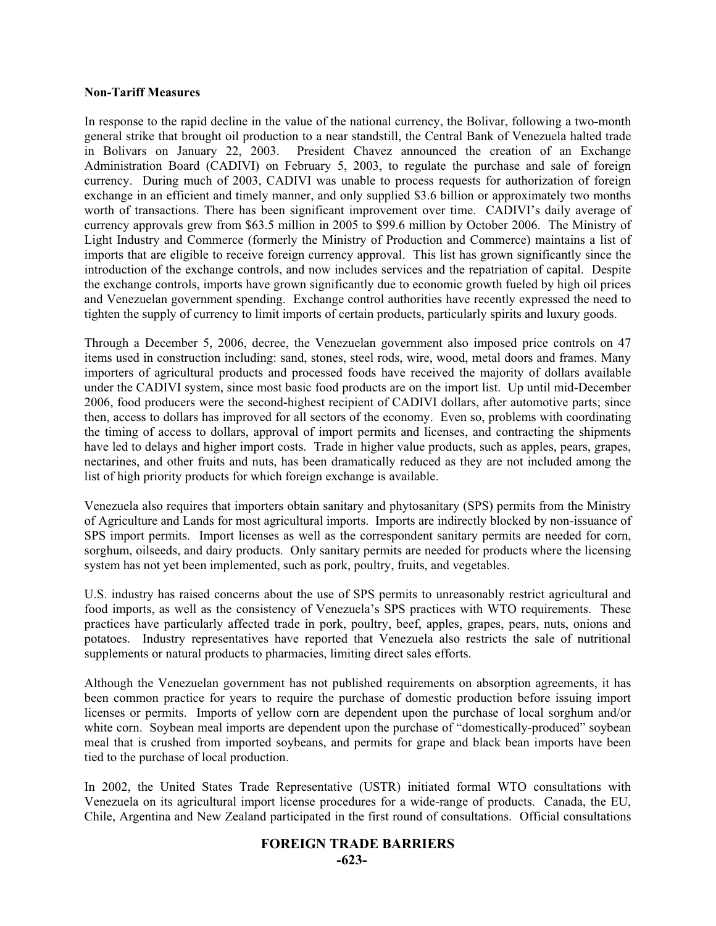#### **Non-Tariff Measures**

In response to the rapid decline in the value of the national currency, the Bolivar, following a two-month general strike that brought oil production to a near standstill, the Central Bank of Venezuela halted trade in Bolivars on January 22, 2003. President Chavez announced the creation of an Exchange Administration Board (CADIVI) on February 5, 2003, to regulate the purchase and sale of foreign currency. During much of 2003, CADIVI was unable to process requests for authorization of foreign exchange in an efficient and timely manner, and only supplied \$3.6 billion or approximately two months worth of transactions. There has been significant improvement over time. CADIVI's daily average of currency approvals grew from \$63.5 million in 2005 to \$99.6 million by October 2006. The Ministry of Light Industry and Commerce (formerly the Ministry of Production and Commerce) maintains a list of imports that are eligible to receive foreign currency approval. This list has grown significantly since the introduction of the exchange controls, and now includes services and the repatriation of capital. Despite the exchange controls, imports have grown significantly due to economic growth fueled by high oil prices and Venezuelan government spending. Exchange control authorities have recently expressed the need to tighten the supply of currency to limit imports of certain products, particularly spirits and luxury goods.

Through a December 5, 2006, decree, the Venezuelan government also imposed price controls on 47 items used in construction including: sand, stones, steel rods, wire, wood, metal doors and frames. Many importers of agricultural products and processed foods have received the majority of dollars available under the CADIVI system, since most basic food products are on the import list. Up until mid-December 2006, food producers were the second-highest recipient of CADIVI dollars, after automotive parts; since then, access to dollars has improved for all sectors of the economy. Even so, problems with coordinating the timing of access to dollars, approval of import permits and licenses, and contracting the shipments have led to delays and higher import costs. Trade in higher value products, such as apples, pears, grapes, nectarines, and other fruits and nuts, has been dramatically reduced as they are not included among the list of high priority products for which foreign exchange is available.

Venezuela also requires that importers obtain sanitary and phytosanitary (SPS) permits from the Ministry of Agriculture and Lands for most agricultural imports. Imports are indirectly blocked by non-issuance of SPS import permits. Import licenses as well as the correspondent sanitary permits are needed for corn, sorghum, oilseeds, and dairy products. Only sanitary permits are needed for products where the licensing system has not yet been implemented, such as pork, poultry, fruits, and vegetables.

U.S. industry has raised concerns about the use of SPS permits to unreasonably restrict agricultural and food imports, as well as the consistency of Venezuela's SPS practices with WTO requirements. These practices have particularly affected trade in pork, poultry, beef, apples, grapes, pears, nuts, onions and potatoes. Industry representatives have reported that Venezuela also restricts the sale of nutritional supplements or natural products to pharmacies, limiting direct sales efforts.

Although the Venezuelan government has not published requirements on absorption agreements, it has been common practice for years to require the purchase of domestic production before issuing import licenses or permits. Imports of yellow corn are dependent upon the purchase of local sorghum and/or white corn. Soybean meal imports are dependent upon the purchase of "domestically-produced" soybean meal that is crushed from imported soybeans, and permits for grape and black bean imports have been tied to the purchase of local production.

In 2002, the United States Trade Representative (USTR) initiated formal WTO consultations with Venezuela on its agricultural import license procedures for a wide-range of products. Canada, the EU, Chile, Argentina and New Zealand participated in the first round of consultations. Official consultations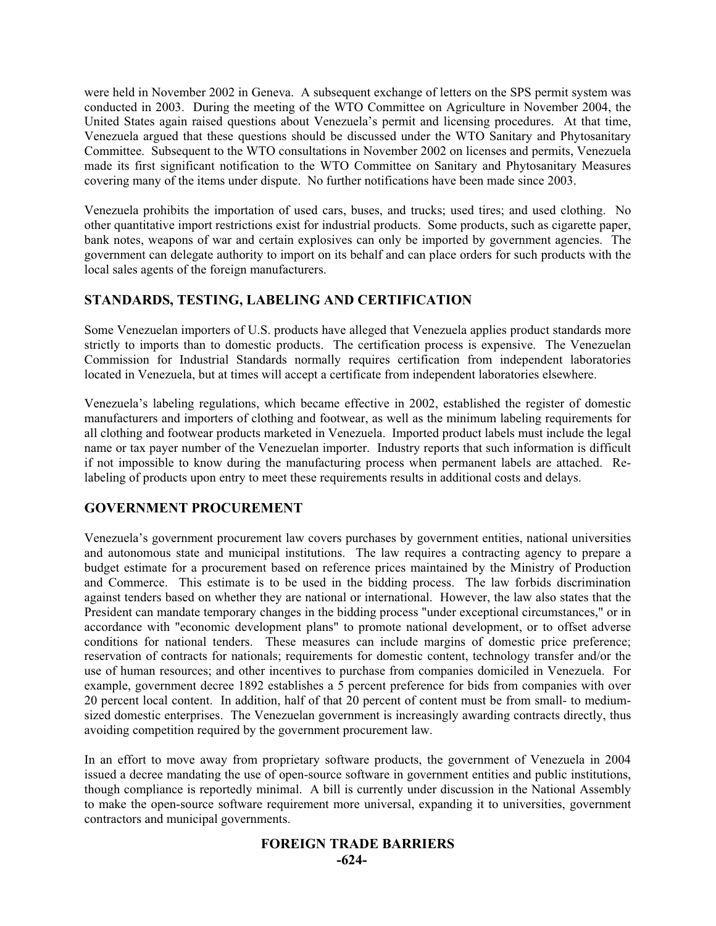were held in November 2002 in Geneva. A subsequent exchange of letters on the SPS permit system was conducted in 2003. During the meeting of the WTO Committee on Agriculture in November 2004, the United States again raised questions about Venezuela's permit and licensing procedures. At that time, Venezuela argued that these questions should be discussed under the WTO Sanitary and Phytosanitary Committee. Subsequent to the WTO consultations in November 2002 on licenses and permits, Venezuela made its first significant notification to the WTO Committee on Sanitary and Phytosanitary Measures covering many of the items under dispute. No further notifications have been made since 2003.

Venezuela prohibits the importation of used cars, buses, and trucks; used tires; and used clothing. No other quantitative import restrictions exist for industrial products. Some products, such as cigarette paper, bank notes, weapons of war and certain explosives can only be imported by government agencies. The government can delegate authority to import on its behalf and can place orders for such products with the local sales agents of the foreign manufacturers.

# **STANDARDS, TESTING, LABELING AND CERTIFICATION**

Some Venezuelan importers of U.S. products have alleged that Venezuela applies product standards more strictly to imports than to domestic products. The certification process is expensive. The Venezuelan Commission for Industrial Standards normally requires certification from independent laboratories located in Venezuela, but at times will accept a certificate from independent laboratories elsewhere.

Venezuela's labeling regulations, which became effective in 2002, established the register of domestic manufacturers and importers of clothing and footwear, as well as the minimum labeling requirements for all clothing and footwear products marketed in Venezuela. Imported product labels must include the legal name or tax payer number of the Venezuelan importer. Industry reports that such information is difficult if not impossible to know during the manufacturing process when permanent labels are attached. Relabeling of products upon entry to meet these requirements results in additional costs and delays.

# **GOVERNMENT PROCUREMENT**

Venezuela's government procurement law covers purchases by government entities, national universities and autonomous state and municipal institutions. The law requires a contracting agency to prepare a budget estimate for a procurement based on reference prices maintained by the Ministry of Production and Commerce. This estimate is to be used in the bidding process. The law forbids discrimination against tenders based on whether they are national or international. However, the law also states that the President can mandate temporary changes in the bidding process "under exceptional circumstances," or in accordance with "economic development plans" to promote national development, or to offset adverse conditions for national tenders. These measures can include margins of domestic price preference; reservation of contracts for nationals; requirements for domestic content, technology transfer and/or the use of human resources; and other incentives to purchase from companies domiciled in Venezuela. For example, government decree 1892 establishes a 5 percent preference for bids from companies with over 20 percent local content. In addition, half of that 20 percent of content must be from small- to mediumsized domestic enterprises. The Venezuelan government is increasingly awarding contracts directly, thus avoiding competition required by the government procurement law.

In an effort to move away from proprietary software products, the government of Venezuela in 2004 issued a decree mandating the use of open-source software in government entities and public institutions, though compliance is reportedly minimal. A bill is currently under discussion in the National Assembly to make the open-source software requirement more universal, expanding it to universities, government contractors and municipal governments.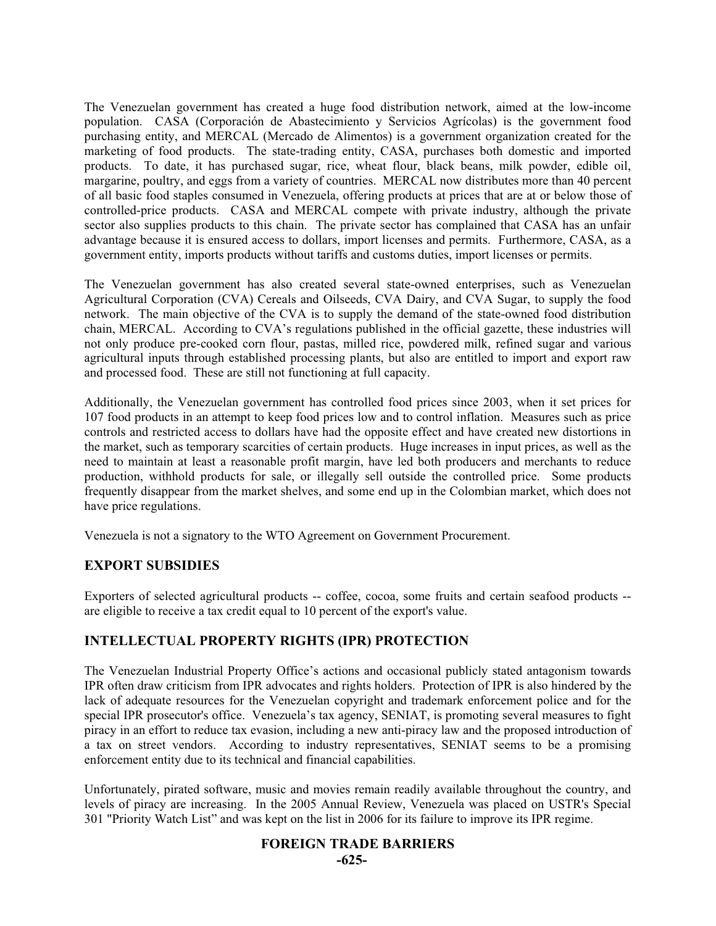The Venezuelan government has created a huge food distribution network, aimed at the low-income population. CASA (Corporación de Abastecimiento y Servicios Agrícolas) is the government food purchasing entity, and MERCAL (Mercado de Alimentos) is a government organization created for the marketing of food products. The state-trading entity, CASA, purchases both domestic and imported products. To date, it has purchased sugar, rice, wheat flour, black beans, milk powder, edible oil, margarine, poultry, and eggs from a variety of countries. MERCAL now distributes more than 40 percent of all basic food staples consumed in Venezuela, offering products at prices that are at or below those of controlled-price products. CASA and MERCAL compete with private industry, although the private sector also supplies products to this chain. The private sector has complained that CASA has an unfair advantage because it is ensured access to dollars, import licenses and permits. Furthermore, CASA, as a government entity, imports products without tariffs and customs duties, import licenses or permits.

The Venezuelan government has also created several state-owned enterprises, such as Venezuelan Agricultural Corporation (CVA) Cereals and Oilseeds, CVA Dairy, and CVA Sugar, to supply the food network. The main objective of the CVA is to supply the demand of the state-owned food distribution chain, MERCAL. According to CVA's regulations published in the official gazette, these industries will not only produce pre-cooked corn flour, pastas, milled rice, powdered milk, refined sugar and various agricultural inputs through established processing plants, but also are entitled to import and export raw and processed food. These are still not functioning at full capacity.

Additionally, the Venezuelan government has controlled food prices since 2003, when it set prices for 107 food products in an attempt to keep food prices low and to control inflation. Measures such as price controls and restricted access to dollars have had the opposite effect and have created new distortions in the market, such as temporary scarcities of certain products. Huge increases in input prices, as well as the need to maintain at least a reasonable profit margin, have led both producers and merchants to reduce production, withhold products for sale, or illegally sell outside the controlled price. Some products frequently disappear from the market shelves, and some end up in the Colombian market, which does not have price regulations.

Venezuela is not a signatory to the WTO Agreement on Government Procurement.

# **EXPORT SUBSIDIES**

Exporters of selected agricultural products -- coffee, cocoa, some fruits and certain seafood products - are eligible to receive a tax credit equal to 10 percent of the export's value.

# **INTELLECTUAL PROPERTY RIGHTS (IPR) PROTECTION**

The Venezuelan Industrial Property Office's actions and occasional publicly stated antagonism towards IPR often draw criticism from IPR advocates and rights holders. Protection of IPR is also hindered by the lack of adequate resources for the Venezuelan copyright and trademark enforcement police and for the special IPR prosecutor's office. Venezuela's tax agency, SENIAT, is promoting several measures to fight piracy in an effort to reduce tax evasion, including a new anti-piracy law and the proposed introduction of a tax on street vendors. According to industry representatives, SENIAT seems to be a promising enforcement entity due to its technical and financial capabilities.

Unfortunately, pirated software, music and movies remain readily available throughout the country, and levels of piracy are increasing. In the 2005 Annual Review, Venezuela was placed on USTR's Special 301 "Priority Watch List" and was kept on the list in 2006 for its failure to improve its IPR regime.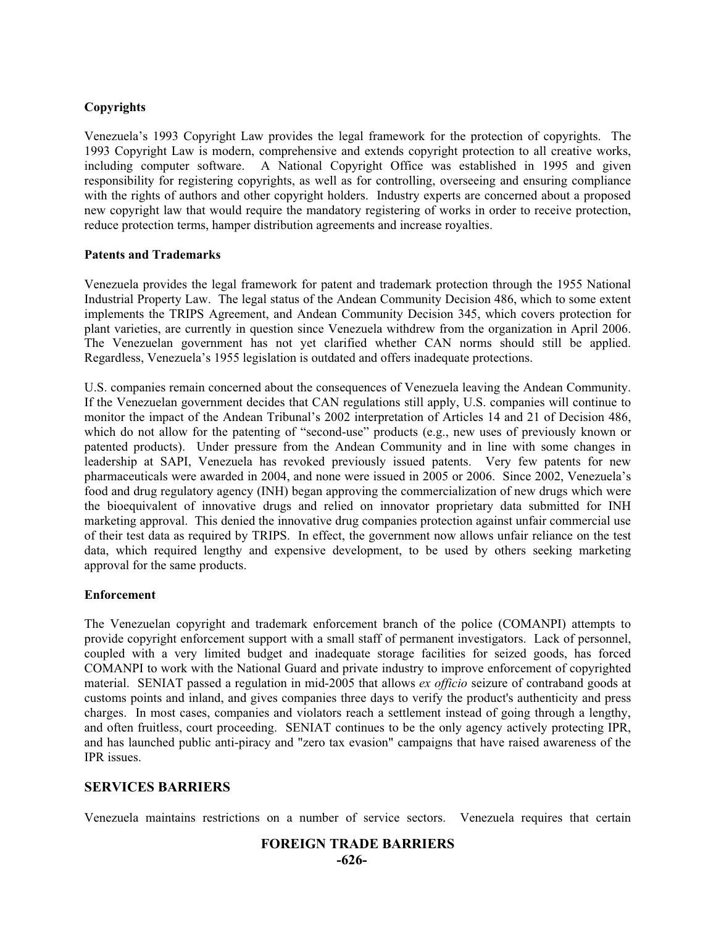## **Copyrights**

Venezuela's 1993 Copyright Law provides the legal framework for the protection of copyrights. The 1993 Copyright Law is modern, comprehensive and extends copyright protection to all creative works, including computer software. A National Copyright Office was established in 1995 and given responsibility for registering copyrights, as well as for controlling, overseeing and ensuring compliance with the rights of authors and other copyright holders. Industry experts are concerned about a proposed new copyright law that would require the mandatory registering of works in order to receive protection, reduce protection terms, hamper distribution agreements and increase royalties.

#### **Patents and Trademarks**

Venezuela provides the legal framework for patent and trademark protection through the 1955 National Industrial Property Law. The legal status of the Andean Community Decision 486, which to some extent implements the TRIPS Agreement, and Andean Community Decision 345, which covers protection for plant varieties, are currently in question since Venezuela withdrew from the organization in April 2006. The Venezuelan government has not yet clarified whether CAN norms should still be applied. Regardless, Venezuela's 1955 legislation is outdated and offers inadequate protections.

U.S. companies remain concerned about the consequences of Venezuela leaving the Andean Community. If the Venezuelan government decides that CAN regulations still apply, U.S. companies will continue to monitor the impact of the Andean Tribunal's 2002 interpretation of Articles 14 and 21 of Decision 486, which do not allow for the patenting of "second-use" products (e.g., new uses of previously known or patented products). Under pressure from the Andean Community and in line with some changes in leadership at SAPI, Venezuela has revoked previously issued patents. Very few patents for new pharmaceuticals were awarded in 2004, and none were issued in 2005 or 2006. Since 2002, Venezuela's food and drug regulatory agency (INH) began approving the commercialization of new drugs which were the bioequivalent of innovative drugs and relied on innovator proprietary data submitted for INH marketing approval. This denied the innovative drug companies protection against unfair commercial use of their test data as required by TRIPS. In effect, the government now allows unfair reliance on the test data, which required lengthy and expensive development, to be used by others seeking marketing approval for the same products.

#### **Enforcement**

The Venezuelan copyright and trademark enforcement branch of the police (COMANPI) attempts to provide copyright enforcement support with a small staff of permanent investigators. Lack of personnel, coupled with a very limited budget and inadequate storage facilities for seized goods, has forced COMANPI to work with the National Guard and private industry to improve enforcement of copyrighted material. SENIAT passed a regulation in mid-2005 that allows *ex officio* seizure of contraband goods at customs points and inland, and gives companies three days to verify the product's authenticity and press charges. In most cases, companies and violators reach a settlement instead of going through a lengthy, and often fruitless, court proceeding. SENIAT continues to be the only agency actively protecting IPR, and has launched public anti-piracy and "zero tax evasion" campaigns that have raised awareness of the IPR issues.

# **SERVICES BARRIERS**

Venezuela maintains restrictions on a number of service sectors. Venezuela requires that certain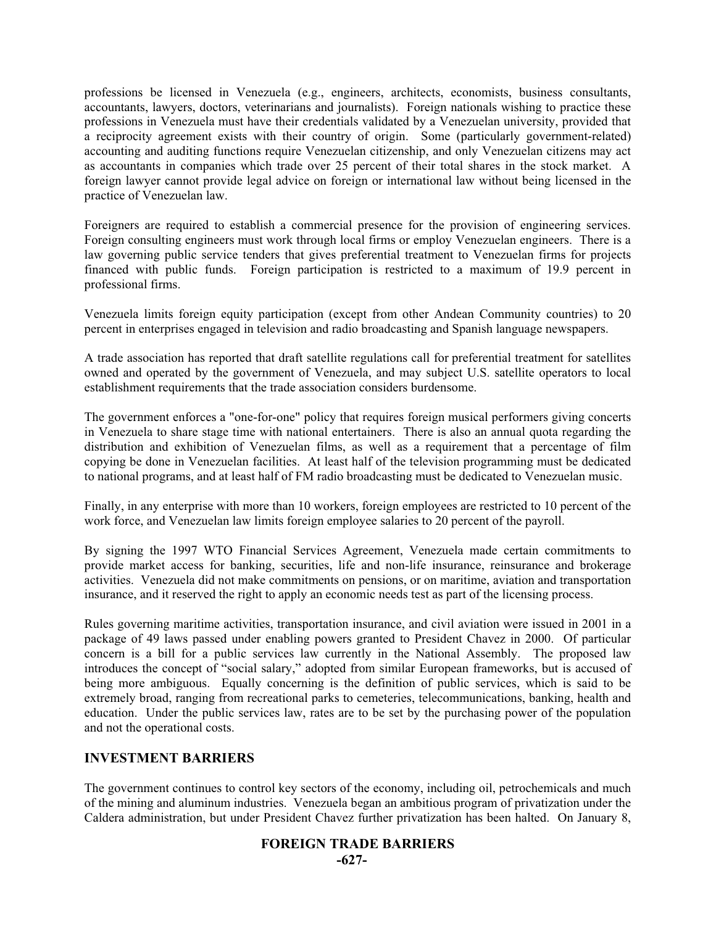professions be licensed in Venezuela (e.g., engineers, architects, economists, business consultants, accountants, lawyers, doctors, veterinarians and journalists). Foreign nationals wishing to practice these professions in Venezuela must have their credentials validated by a Venezuelan university, provided that a reciprocity agreement exists with their country of origin. Some (particularly government-related) accounting and auditing functions require Venezuelan citizenship, and only Venezuelan citizens may act as accountants in companies which trade over 25 percent of their total shares in the stock market. A foreign lawyer cannot provide legal advice on foreign or international law without being licensed in the practice of Venezuelan law.

Foreigners are required to establish a commercial presence for the provision of engineering services. Foreign consulting engineers must work through local firms or employ Venezuelan engineers. There is a law governing public service tenders that gives preferential treatment to Venezuelan firms for projects financed with public funds. Foreign participation is restricted to a maximum of 19.9 percent in professional firms.

Venezuela limits foreign equity participation (except from other Andean Community countries) to 20 percent in enterprises engaged in television and radio broadcasting and Spanish language newspapers.

A trade association has reported that draft satellite regulations call for preferential treatment for satellites owned and operated by the government of Venezuela, and may subject U.S. satellite operators to local establishment requirements that the trade association considers burdensome.

The government enforces a "one-for-one" policy that requires foreign musical performers giving concerts in Venezuela to share stage time with national entertainers. There is also an annual quota regarding the distribution and exhibition of Venezuelan films, as well as a requirement that a percentage of film copying be done in Venezuelan facilities. At least half of the television programming must be dedicated to national programs, and at least half of FM radio broadcasting must be dedicated to Venezuelan music.

Finally, in any enterprise with more than 10 workers, foreign employees are restricted to 10 percent of the work force, and Venezuelan law limits foreign employee salaries to 20 percent of the payroll.

By signing the 1997 WTO Financial Services Agreement, Venezuela made certain commitments to provide market access for banking, securities, life and non-life insurance, reinsurance and brokerage activities. Venezuela did not make commitments on pensions, or on maritime, aviation and transportation insurance, and it reserved the right to apply an economic needs test as part of the licensing process.

Rules governing maritime activities, transportation insurance, and civil aviation were issued in 2001 in a package of 49 laws passed under enabling powers granted to President Chavez in 2000. Of particular concern is a bill for a public services law currently in the National Assembly. The proposed law introduces the concept of "social salary," adopted from similar European frameworks, but is accused of being more ambiguous. Equally concerning is the definition of public services, which is said to be extremely broad, ranging from recreational parks to cemeteries, telecommunications, banking, health and education. Under the public services law, rates are to be set by the purchasing power of the population and not the operational costs.

#### **INVESTMENT BARRIERS**

The government continues to control key sectors of the economy, including oil, petrochemicals and much of the mining and aluminum industries. Venezuela began an ambitious program of privatization under the Caldera administration, but under President Chavez further privatization has been halted. On January 8,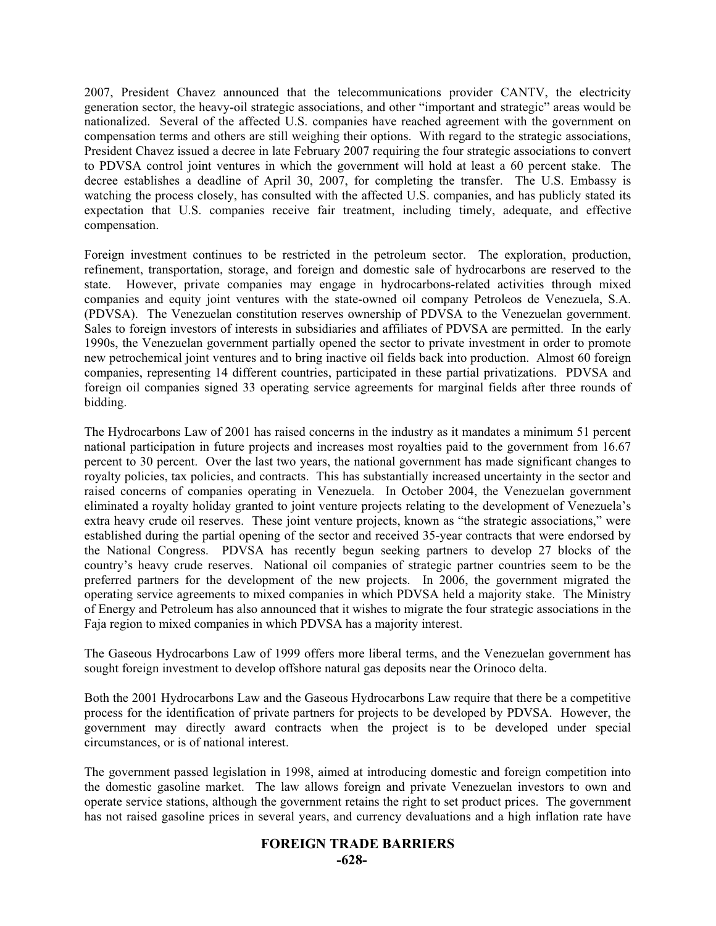2007, President Chavez announced that the telecommunications provider CANTV, the electricity generation sector, the heavy-oil strategic associations, and other "important and strategic" areas would be nationalized. Several of the affected U.S. companies have reached agreement with the government on compensation terms and others are still weighing their options. With regard to the strategic associations, President Chavez issued a decree in late February 2007 requiring the four strategic associations to convert to PDVSA control joint ventures in which the government will hold at least a 60 percent stake. The decree establishes a deadline of April 30, 2007, for completing the transfer. The U.S. Embassy is watching the process closely, has consulted with the affected U.S. companies, and has publicly stated its expectation that U.S. companies receive fair treatment, including timely, adequate, and effective compensation.

Foreign investment continues to be restricted in the petroleum sector. The exploration, production, refinement, transportation, storage, and foreign and domestic sale of hydrocarbons are reserved to the state. However, private companies may engage in hydrocarbons-related activities through mixed companies and equity joint ventures with the state-owned oil company Petroleos de Venezuela, S.A. (PDVSA). The Venezuelan constitution reserves ownership of PDVSA to the Venezuelan government. Sales to foreign investors of interests in subsidiaries and affiliates of PDVSA are permitted. In the early 1990s, the Venezuelan government partially opened the sector to private investment in order to promote new petrochemical joint ventures and to bring inactive oil fields back into production. Almost 60 foreign companies, representing 14 different countries, participated in these partial privatizations. PDVSA and foreign oil companies signed 33 operating service agreements for marginal fields after three rounds of bidding.

The Hydrocarbons Law of 2001 has raised concerns in the industry as it mandates a minimum 51 percent national participation in future projects and increases most royalties paid to the government from 16.67 percent to 30 percent. Over the last two years, the national government has made significant changes to royalty policies, tax policies, and contracts. This has substantially increased uncertainty in the sector and raised concerns of companies operating in Venezuela. In October 2004, the Venezuelan government eliminated a royalty holiday granted to joint venture projects relating to the development of Venezuela's extra heavy crude oil reserves. These joint venture projects, known as "the strategic associations," were established during the partial opening of the sector and received 35-year contracts that were endorsed by the National Congress. PDVSA has recently begun seeking partners to develop 27 blocks of the country's heavy crude reserves. National oil companies of strategic partner countries seem to be the preferred partners for the development of the new projects. In 2006, the government migrated the operating service agreements to mixed companies in which PDVSA held a majority stake. The Ministry of Energy and Petroleum has also announced that it wishes to migrate the four strategic associations in the Faja region to mixed companies in which PDVSA has a majority interest.

The Gaseous Hydrocarbons Law of 1999 offers more liberal terms, and the Venezuelan government has sought foreign investment to develop offshore natural gas deposits near the Orinoco delta.

Both the 2001 Hydrocarbons Law and the Gaseous Hydrocarbons Law require that there be a competitive process for the identification of private partners for projects to be developed by PDVSA. However, the government may directly award contracts when the project is to be developed under special circumstances, or is of national interest.

The government passed legislation in 1998, aimed at introducing domestic and foreign competition into the domestic gasoline market. The law allows foreign and private Venezuelan investors to own and operate service stations, although the government retains the right to set product prices. The government has not raised gasoline prices in several years, and currency devaluations and a high inflation rate have